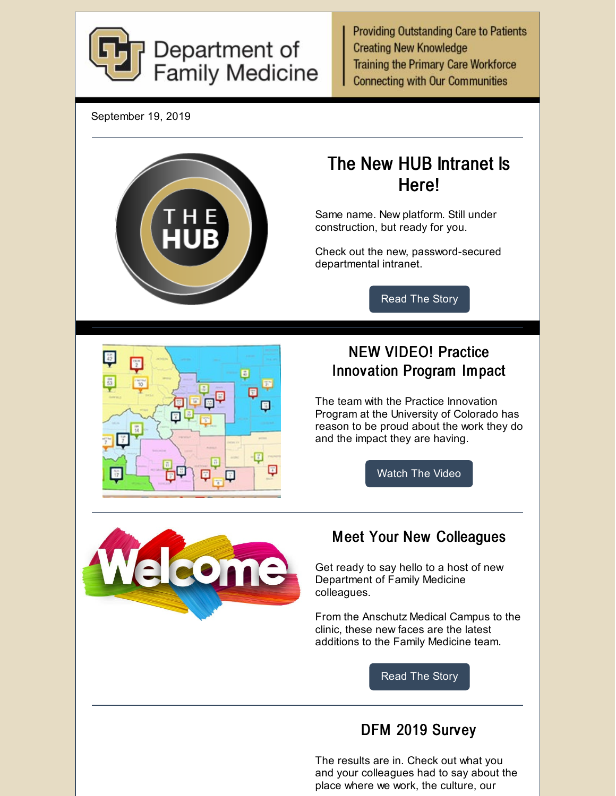

**Providing Outstanding Care to Patients Creating New Knowledge Training the Primary Care Workforce Connecting with Our Communities** 

September 19, 2019



The results are in. Check out what you and your colleagues had to say about the place where we work, the culture, our